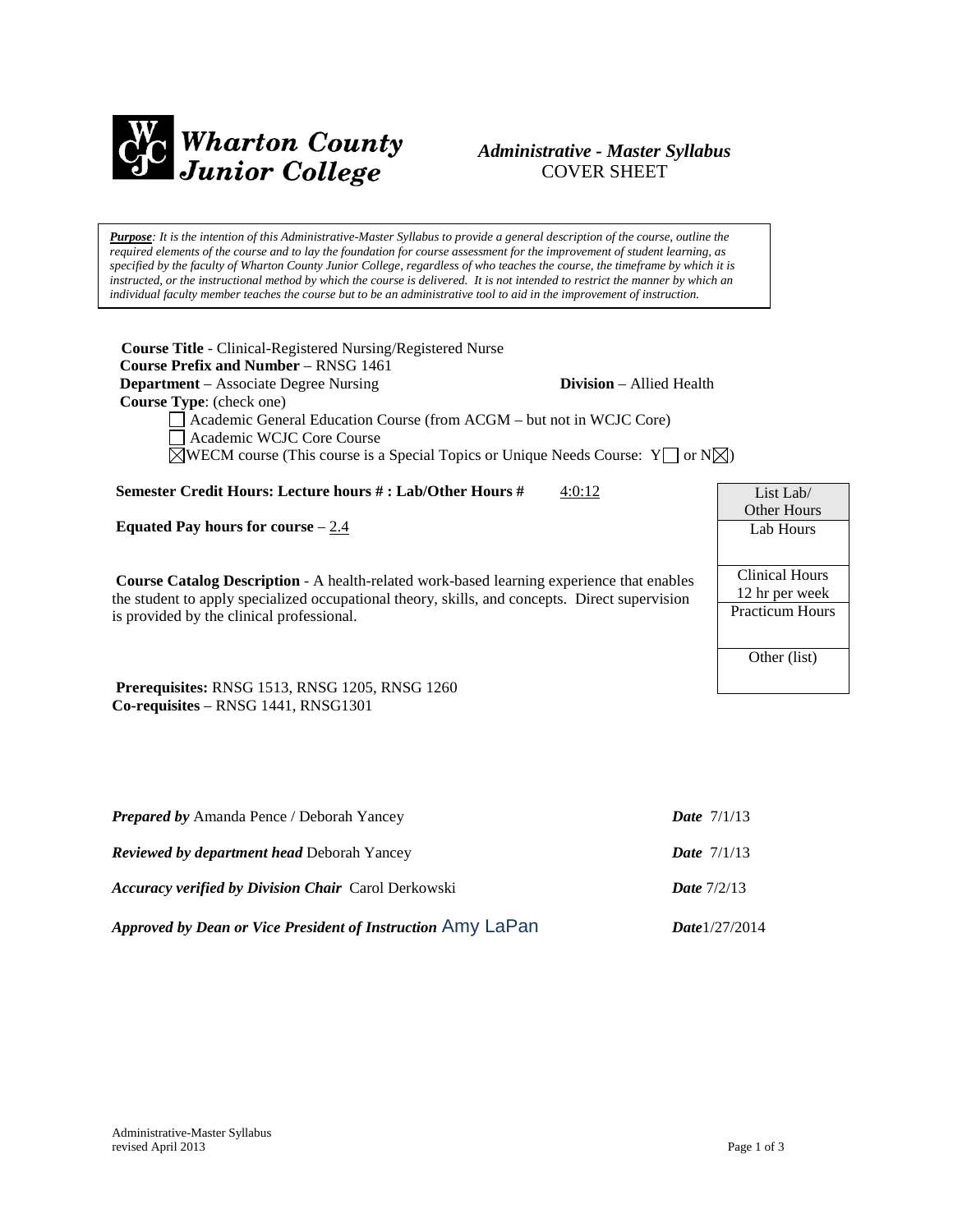

# *Administrative - Master Syllabus*  COVER SHEET

*Purpose: It is the intention of this Administrative-Master Syllabus to provide a general description of the course, outline the required elements of the course and to lay the foundation for course assessment for the improvement of student learning, as specified by the faculty of Wharton County Junior College, regardless of who teaches the course, the timeframe by which it is instructed, or the instructional method by which the course is delivered. It is not intended to restrict the manner by which an individual faculty member teaches the course but to be an administrative tool to aid in the improvement of instruction.*

**Course Title** - Clinical-Registered Nursing/Registered Nurse  **Course Prefix and Number** – RNSG 1461 **Department** – Associate Degree Nursing **Division** – Allied Health  **Course Type**: (check one) Academic General Education Course (from ACGM – but not in WCJC Core) Academic WCJC Core Course  $\boxtimes$ WECM course (This course is a Special Topics or Unique Needs Course: Y  $\Box$  or N $\boxtimes$ )

**Semester Credit Hours: Lecture hours #: Lab/Other Hours #**  $4:0:12$ 

**Equated Pay hours for course** – 2.4

**Course Catalog Description** - A health-related work-based learning experience that enables the student to apply specialized occupational theory, skills, and concepts. Direct supervision is provided by the clinical professional.

**Prerequisites:** RNSG 1513, RNSG 1205, RNSG 1260 **Co-requisites** – RNSG 1441, RNSG1301

| <b>Prepared by Amanda Pence / Deborah Yancey</b>            | <b>Date</b> $7/1/13$ |  |
|-------------------------------------------------------------|----------------------|--|
| <b>Reviewed by department head Deborah Yancey</b>           | <b>Date</b> $7/1/13$ |  |
| <b>Accuracy verified by Division Chair</b> Carol Derkowski  | Date $7/2/13$        |  |
| Approved by Dean or Vice President of Instruction Amy LaPan | Date $1/27/2014$     |  |

| List Lab/              |
|------------------------|
| Other Hours            |
| Lab Hours              |
|                        |
| Clinical Hours         |
| 12 hr per week         |
| <b>Practicum Hours</b> |
|                        |
| Other (list)           |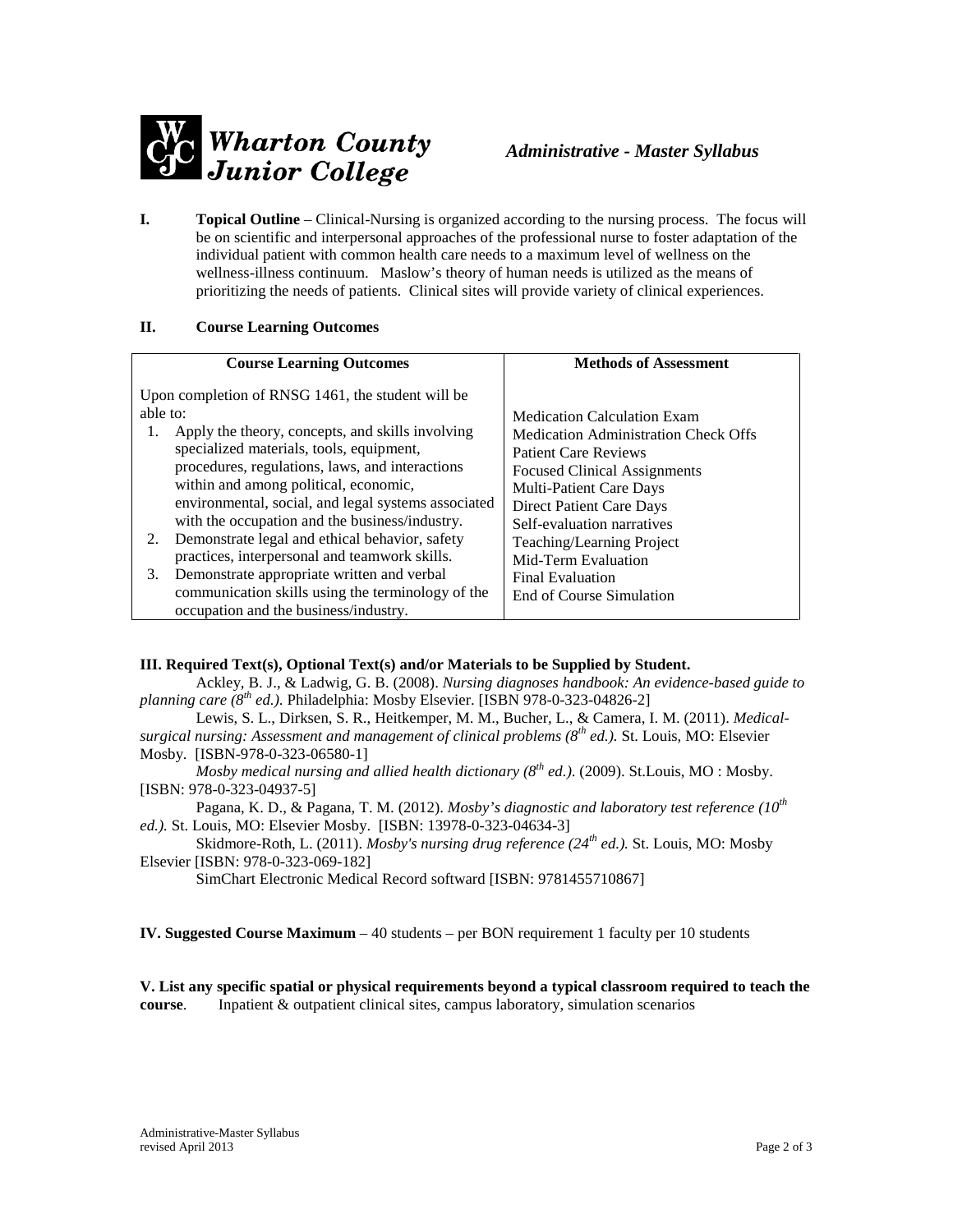

**I. Topical Outline** – Clinical-Nursing is organized according to the nursing process. The focus will be on scientific and interpersonal approaches of the professional nurse to foster adaptation of the individual patient with common health care needs to a maximum level of wellness on the wellness-illness continuum. Maslow's theory of human needs is utilized as the means of prioritizing the needs of patients. Clinical sites will provide variety of clinical experiences.

## **II. Course Learning Outcomes**

|          | <b>Course Learning Outcomes</b>                                                                                                                                                                                                               | <b>Methods of Assessment</b>                                                                                                                            |
|----------|-----------------------------------------------------------------------------------------------------------------------------------------------------------------------------------------------------------------------------------------------|---------------------------------------------------------------------------------------------------------------------------------------------------------|
| able to: | Upon completion of RNSG 1461, the student will be<br>Apply the theory, concepts, and skills involving<br>specialized materials, tools, equipment,<br>procedures, regulations, laws, and interactions<br>within and among political, economic, | <b>Medication Calculation Exam</b><br><b>Medication Administration Check Offs</b><br><b>Patient Care Reviews</b><br><b>Focused Clinical Assignments</b> |
| 2.       | environmental, social, and legal systems associated<br>with the occupation and the business/industry.<br>Demonstrate legal and ethical behavior, safety                                                                                       | <b>Multi-Patient Care Days</b><br>Direct Patient Care Days<br>Self-evaluation narratives<br>Teaching/Learning Project                                   |
| 3.       | practices, interpersonal and teamwork skills.<br>Demonstrate appropriate written and verbal<br>communication skills using the terminology of the<br>occupation and the business/industry.                                                     | Mid-Term Evaluation<br><b>Final Evaluation</b><br>End of Course Simulation                                                                              |

## **III. Required Text(s), Optional Text(s) and/or Materials to be Supplied by Student.**

Ackley, B. J., & Ladwig, G. B. (2008). *Nursing diagnoses handbook: An evidence-based guide to planning care (8th ed.)*. Philadelphia: Mosby Elsevier. [ISBN 978-0-323-04826-2]

Lewis, S. L., Dirksen, S. R., Heitkemper, M. M., Bucher, L., & Camera, I. M. (2011). *Medicalsurgical nursing: Assessment and management of clinical problems (8th ed.).* St. Louis, MO: Elsevier Mosby. [ISBN-978-0-323-06580-1]

*Mosby medical nursing and allied health dictionary (8th ed.)*. (2009). St.Louis, MO : Mosby. [ISBN: 978-0-323-04937-5]

Pagana, K. D., & Pagana, T. M. (2012). *Mosby's diagnostic and laboratory test reference (10th ed.).* St. Louis, MO: Elsevier Mosby. [ISBN: 13978-0-323-04634-3]

Skidmore-Roth, L. (2011). *Mosby's nursing drug reference (24th ed.).* St. Louis, MO: Mosby Elsevier [ISBN: 978-0-323-069-182]

SimChart Electronic Medical Record softward [ISBN: 9781455710867]

**IV. Suggested Course Maximum** – 40 students – per BON requirement 1 faculty per 10 students

**V. List any specific spatial or physical requirements beyond a typical classroom required to teach the course**. Inpatient & outpatient clinical sites, campus laboratory, simulation scenarios